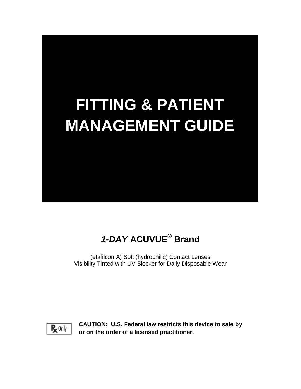# **FITTING & PATIENT MANAGEMENT GUIDE**

## *1-DAY* **ACUVUE® Brand**

(etafilcon A) Soft (hydrophilic) Contact Lenses Visibility Tinted with UV Blocker for Daily Disposable Wear



**CAUTION: U.S. Federal law restricts this device to sale by or on the order of a licensed practitioner.**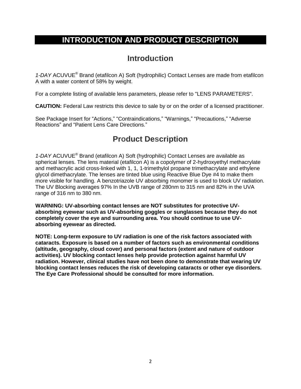## **INTRODUCTION AND PRODUCT DESCRIPTION**

## **Introduction**

*1-DAY* ACUVUE® Brand (etafilcon A) Soft (hydrophilic) Contact Lenses are made from etafilcon A with a water content of 58% by weight.

For a complete listing of available lens parameters, please refer to "LENS PARAMETERS".

**CAUTION:** Federal Law restricts this device to sale by or on the order of a licensed practitioner.

See Package Insert for "Actions," "Contraindications," "Warnings," "Precautions." "Adverse Reactions" and "Patient Lens Care Directions."

## **Product Description**

*1-DAY* ACUVUE® Brand (etafilcon A) Soft (hydrophilic) Contact Lenses are available as spherical lenses. The lens material (etafilcon A) is a copolymer of 2-hydroxyethyl methacrylate and methacrylic acid cross-linked with 1, 1, 1-trimethylol propane trimethacrylate and ethylene glycol dimethacrylate. The lenses are tinted blue using Reactive Blue Dye #4 to make them more visible for handling. A benzotriazole UV absorbing monomer is used to block UV radiation. The UV Blocking averages 97% In the UVB range of 280nm to 315 nm and 82% in the UVA range of 316 nm to 380 nm.

**WARNING: UV-absorbing contact lenses are NOT substitutes for protective UVabsorbing eyewear such as UV-absorbing goggles or sunglasses because they do not completely cover the eye and surrounding area. You should continue to use UVabsorbing eyewear as directed.**

**NOTE: Long-term exposure to UV radiation is one of the risk factors associated with cataracts. Exposure is based on a number of factors such as environmental conditions (altitude, geography, cloud cover) and personal factors (extent and nature of outdoor activities). UV blocking contact lenses help provide protection against harmful UV radiation. However, clinical studies have not been done to demonstrate that wearing UV blocking contact lenses reduces the risk of developing cataracts or other eye disorders. The Eye Care Professional should be consulted for more information.**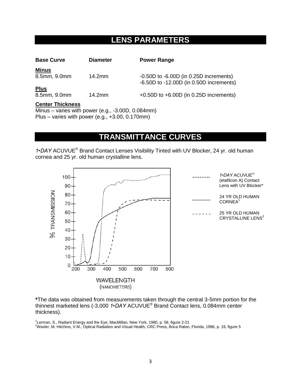## **LENS PARAMETERS**

| <b>Base Curve</b>       | <b>Diameter</b> | <b>Power Range</b>                                                                        |
|-------------------------|-----------------|-------------------------------------------------------------------------------------------|
| <u>Minus</u>            |                 |                                                                                           |
| 8.5mm, 9.0mm            | 14.2mm          | $-0.50D$ to $-6.00D$ (in 0.25D increments)<br>$-6.50D$ to $-12.00D$ (in 0.50D increments) |
| <b>Plus</b>             |                 |                                                                                           |
| 8.5mm, 9.0mm            | 14.2mm          | $+0.50D$ to $+6.00D$ (in 0.25D increments)                                                |
| <b>Center Thickness</b> |                 |                                                                                           |

Minus – varies with power (e.g., -3.00D, 0.084mm) Plus – varies with power (e.g., +3.00, 0.170mm)

## **TRANSMITTANCE CURVES**

*1•DAY* ACUVUE® Brand Contact Lenses Visibility Tinted with UV Blocker, 24 yr. old human cornea and 25 yr. old human crystalline lens.



**\***The data was obtained from measurements taken through the central 3-5mm portion for the thinnest marketed lens (-3.000 *1•DAY* ACUVUE® Brand Contact lens, 0.084mm center thickness).

<sup>1</sup>Lerman, S., Radiant Energy and the Eye, MacMillan, New York, 1980, p. 58, figure 2-21 <sup>2</sup>Waxler, M. Hitchins, V.M., Optical Radiation and Visual Health, CRC Press, Boca Raton, Florida, 1986, p. 19, figure 5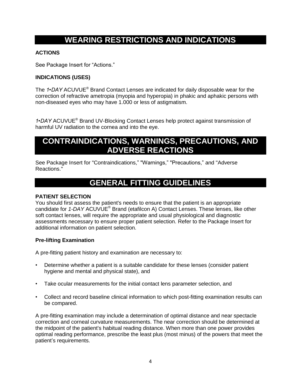## **WEARING RESTRICTIONS AND INDICATIONS**

#### **ACTIONS**

See Package Insert for "Actions."

#### **INDICATIONS (USES)**

The *1•DAY* ACUVUE® Brand Contact Lenses are indicated for daily disposable wear for the correction of refractive ametropia (myopia and hyperopia) in phakic and aphakic persons with non-diseased eyes who may have 1.000 or less of astigmatism.

*1•DAY* ACUVUE® Brand UV-Blocking Contact Lenses help protect against transmission of harmful UV radiation to the cornea and into the eye.

## **CONTRAINDICATIONS, WARNINGS, PRECAUTIONS, AND ADVERSE REACTIONS**

See Package Insert for "Contraindications," "Warnings," "Precautions," and "Adverse Reactions."

## **GENERAL FITTING GUIDELINES**

#### **PATIENT SELECTION**

You should first assess the patient's needs to ensure that the patient is an appropriate candidate for *1-DAY* ACUVUE® Brand (etafilcon A) Contact Lenses. These lenses, like other soft contact lenses, will require the appropriate and usual physiological and diagnostic assessments necessary to ensure proper patient selection. Refer to the Package Insert for additional information on patient selection.

#### **Pre-lifting Examination**

A pre-fitting patient history and examination are necessary to:

- Determine whether a patient is a suitable candidate for these lenses (consider patient hygiene and mental and physical state), and
- Take ocular measurements for the initial contact lens parameter selection, and
- Collect and record baseline clinical information to which post-fitting examination results can be compared.

A pre-fitting examination may include a determination of optimal distance and near spectacle correction and corneal curvature measurements. The near correction should be determined at the midpoint of the patient's habitual reading distance. When more than one power provides optimal reading performance, prescribe the least plus (most minus) of the powers that meet the patient's requirements.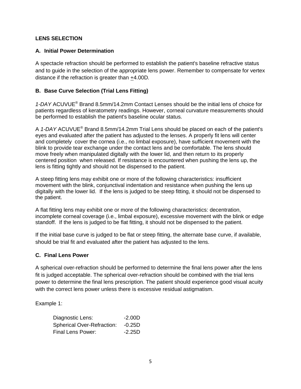#### **LENS SELECTION**

#### **A. Initial Power Determination**

A spectacle refraction should be performed to establish the patient's baseline refractive status and to guide in the selection of the appropriate lens power. Remember to compensate for vertex distance if the refraction is greater than +4.00D*.*

#### **B. Base Curve Selection (Trial Lens Fitting)**

*1-DAY* ACUVUE® Brand 8.5mm/14.2mm Contact Lenses should be the initial lens of choice for patients regardless of keratometry readings. However, corneal curvature measurements should be performed to establish the patient's baseline ocular status.

A *1-DAY* ACUVUE® Brand 8.5mm/14.2mm Trial Lens should be placed on each of the patient's eyes and evaluated after the patient has adjusted to the lenses. A properly fit lens will center and completely cover the cornea (i.e., no limbal exposure), have sufficient movement with the blink to provide tear exchange under the contact lens and be comfortable. The lens should move freely when manipulated digitally with the lower lid, and then return to its properly centered position when released. If resistance is encountered when pushing the lens up, the lens is fitting tightly and should not be dispensed to the patient.

A steep fitting lens may exhibit one or more of the following characteristics: insufficient movement with the blink, conjunctival indentation and resistance when pushing the lens up digitally with the lower lid. If the lens is judged to be steep fitting, it should not be dispensed to the patient.

A flat fitting lens may exhibit one or more of the following characteristics: decentration, incomplete corneal coverage (i.e., limbal exposure), excessive movement with the blink or edge standoff. If the lens is judged to be flat fitting, it should not be dispensed to the patient.

If the initial base curve is judged to be flat or steep fitting, the alternate base curve, if available, should be trial fit and evaluated after the patient has adjusted to the lens.

#### **C. Final Lens Power**

A spherical over-refraction should be performed to determine the final lens power after the lens fit is judged acceptable. The spherical over-refraction should be combined with the trial lens power to determine the final lens prescription. The patient should experience good visual acuity with the correct lens power unless there is excessive residual astigmatism.

Example 1:

| Diagnostic Lens:                  | $-2.00D$ |
|-----------------------------------|----------|
| <b>Spherical Over-Refraction:</b> | $-0.25D$ |
| Final Lens Power:                 | $-2.25D$ |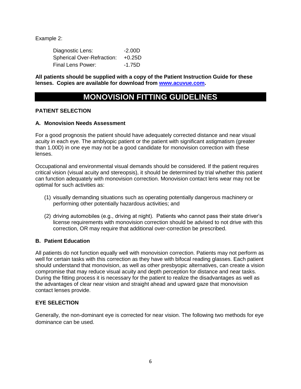Example 2:

Diagnostic Lens: -2.00D Spherical Over-Refraction: +0.25D Final Lens Power: -1.75D

**All patients should be supplied with a copy of the Patient Instruction Guide for these lenses. Copies are available for download from [www.acuvue.com.](http://www.acuvue.com/)**

## **MONOVISION FITTING GUIDELINES**

#### **PATIENT SELECTION**

#### **A. Monovision Needs Assessment**

For a good prognosis the patient should have adequately corrected distance and near visual acuity in each eye. The amblyopic patient or the patient with significant astigmatism (greater than 1.00D) in one eye may not be a good candidate for monovision correction with these lenses.

Occupational and environmental visual demands should be considered. If the patient requires critical vision (visual acuity and stereopsis), it should be determined by trial whether this patient can function adequately with monovision correction. Monovision contact lens wear may not be optimal for such activities as:

- (1) visually demanding situations such as operating potentially dangerous machinery or performing other potentially hazardous activities; and
- (2) driving automobiles (e.g., driving at night). Patients who cannot pass their state driver's license requirements with monovision correction should be advised to not drive with this correction, OR may require that additional over-correction be prescribed.

#### **B. Patient Education**

All patients do not function equally well with monovision correction. Patients may not perform as well for certain tasks with this correction as they have with bifocal reading glasses. Each patient should understand that monovision, as well as other presbyopic alternatives, can create a vision compromise that may reduce visual acuity and depth perception for distance and near tasks. During the fitting process it is necessary for the patient to realize the disadvantages as well as the advantages of clear near vision and straight ahead and upward gaze that monovision contact lenses provide.

#### **EYE SELECTION**

Generally, the non-dominant eye is corrected for near vision. The following two methods for eye dominance can be used.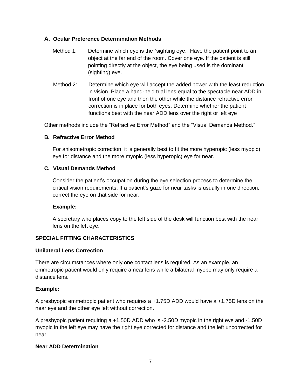#### **A. Ocular Preference Determination Methods**

- Method 1: Determine which eye is the "sighting eye." Have the patient point to an object at the far end of the room. Cover one eye. If the patient is still pointing directly at the object, the eye being used is the dominant (sighting) eye.
- Method 2: Determine which eye will accept the added power with the least reduction in vision. Place a hand-held trial lens equal to the spectacle near ADD in front of one eye and then the other while the distance refractive error correction is in place for both eyes. Determine whether the patient functions best with the near ADD lens over the right or left eye

Other methods include the "Refractive Error Method" and the "Visual Demands Method."

#### **B. Refractive Error Method**

For anisometropic correction, it is generally best to fit the more hyperopic (less myopic) eye for distance and the more myopic (less hyperopic) eye for near.

#### **C. Visual Demands Method**

Consider the patient's occupation during the eye selection process to determine the critical vision requirements. If a patient's gaze for near tasks is usually in one direction, correct the eye on that side for near.

#### **Example:**

A secretary who places copy to the left side of the desk will function best with the near lens on the left eye.

#### **SPECIAL FITTING CHARACTERISTICS**

#### **Unilateral Lens Correction**

There are circumstances where only one contact lens is required. As an example, an emmetropic patient would only require a near lens while a bilateral myope may only require a distance lens.

#### **Example:**

A presbyopic emmetropic patient who requires a +1.75D ADD would have a +1.75D lens on the near eye and the other eye left without correction.

A presbyopic patient requiring a +1.50D ADD who is -2.50D myopic in the right eye and -1.50D myopic in the left eye may have the right eye corrected for distance and the left uncorrected for near.

#### **Near ADD Determination**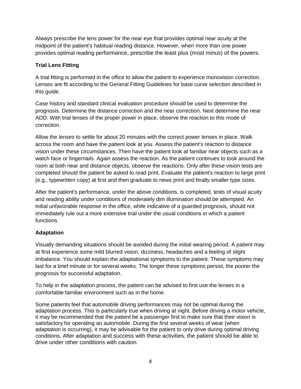Always prescribe the lens power for the near eye that provides optimal near acuity at the midpoint of the patient's habitual reading distance. However, when more than one power provides optimal reading performance, prescribe the least plus (most minus) of the powers.

#### **Trial Lens Fitting**

A trial fitting is performed in the office to allow the patient to experience monovision correction. Lenses are fit according to the General Fitting Guidelines for base curve selection described in this guide.

Case history and standard clinical evaluation procedure should be used to determine the prognosis. Determine the distance correction and the near correction. Next determine the near ADD. With trial lenses of the proper power in place, observe the reaction to this mode of correction.

Allow the lenses to settle for about 20 minutes with the correct power lenses in place. Walk across the room and have the patient look at you. Assess the patient's reaction to distance vision under these circumstances. Then have the patient look at familiar near objects such as a watch face or fingernails. Again assess the reaction. As the patient continues to took around the room at both near and distance objects, observe the reactions. Only after these vision tests are completed should the patient be asked to read print. Evaluate the patient's reaction to large print (e.g., typewritten copy) at first and then graduate to news print and finally smaller type sizes.

After the patient's performance, under the above conditions, is completed, tests of visual acuity and reading ability under conditions of moderately dim illumination should be attempted. An initial unfavorable response in the office, while indicative of a guarded prognosis, should not immediately rule out a more extensive trial under the usual conditions in which a patient functions.

#### **Adaptation**

Visually demanding situations should be avoided during the initial wearing period. A patient may at first experience some mild blurred vision, dizziness, headaches and a feeling of slight imbalance. You should explain the adaptational symptoms to the patient. These symptoms may last for a brief minute or for several weeks. The longer these symptoms persist, the poorer the prognosis for successful adaptation.

To help in the adaptation process, the patient can be advised to first use the lenses in a comfortable familiar environment such as in the home.

Some patients feel that automobile driving performances may not be optimal during the adaptation process. This is particularly true when driving at night. Before driving a motor vehicle, it may be recommended that the patient be a passenger first to make sure that their vision is satisfactory for operating an automobile. During the first several weeks of wear (when adaptation is occurring), it may be advisable for the patient to only drive during optimal driving conditions. After adaptation and success with these activities, the patient should be able to drive under other conditions with caution.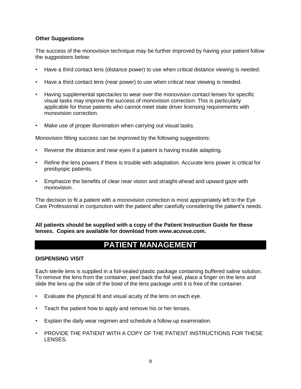#### **Other Suggestions**

The success of the monovision technique may be further improved by having your patient follow the suggestions below:

- Have a third contact lens (distance power) to use when critical distance viewing is needed.
- Have a third contact lens (near power) to use when critical near viewing is needed.
- Having supplemental spectacles to wear over the monovision contact lenses for specific visual tasks may improve the success of monovision correction. This is particularly applicable for those patients who cannot meet state driver licensing requirements with monovision correction.
- Make use of proper illumination when carrying out visual tasks.

Monovision fitting success can be improved by the following suggestions:

- Reverse the distance and near eyes if a patient is having trouble adapting.
- Refine the lens powers if there is trouble with adaptation. Accurate lens power is critical for presbyopic patients.
- Emphasize the benefits of clear near vision and straight-ahead and upward gaze with monovision.

The decision to fit a patient with a monovision correction is most appropriately left to the Eye Care Professional in conjunction with the patient after carefully considering the patient's needs.

**All patients should be supplied with a copy of the Patient Instruction Guide for these lenses. Copies are available for download from www.acuvue.com.**

## **PATIENT MANAGEMENT**

#### **DISPENSING VISIT**

Each sterile lens is supplied in a foil-sealed plastic package containing buffered saline solution. To remove the lens from the container, peel back the foil seal, place a finger on the lens and slide the lens up the side of the bowl of the lens package until it is free of the container.

- Evaluate the physical fit and visual acuity of the lens on each eye.
- Teach the patient how to apply and remove his or her lenses.
- Explain the daily wear regimen and schedule a follow-up examination.
- PROVIDE THE PATIENT WITH A COPY OF THE PATIENT INSTRUCTIONS FOR THESE LENSES.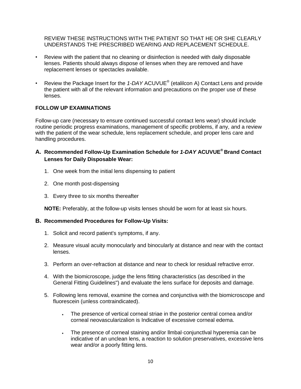REVIEW THESE INSTRUCTIONS WITH THE PATIENT SO THAT HE OR SHE CLEARLY UNDERSTANDS THE PRESCRIBED WEARING AND REPLACEMENT SCHEDULE.

- Review with the patient that no cleaning or disinfection is needed with daily disposable lenses. Patients should always dispose of lenses when they are removed and have replacement lenses or spectacles available.
- Review the Package Insert for the *1-DAY* ACUVUE® (etalilcon A) Contact Lens and provide the patient with all of the relevant information and precautions on the proper use of these lenses.

#### **FOLLOW UP EXAMINATIONS**

Follow-up care (necessary to ensure continued successful contact lens wear) should include routine periodic progress examinations, management of specific problems, if any, and a review with the patient of the wear schedule, lens replacement schedule, and proper lens care and handling procedures.

- **A. Recommended Follow-Up Examination Schedule for** *1-DAY* **ACUVUE® Brand Contact Lenses for Daily Disposable Wear:**
	- 1. One week from the initial lens dispensing to patient
	- 2. One month post-dispensing
	- 3. Every three to six months thereafter

**NOTE:** Preferably, at the follow-up visits lenses should be worn for at least six hours.

#### **B. Recommended Procedures for Follow-Up Visits:**

- 1. Solicit and record patient's symptoms, if any.
- 2. Measure visual acuity monocularly and binocularly at distance and near with the contact lenses.
- 3. Perform an over-refraction at distance and near to check lor residual refractive error.
- 4. With the biomicroscope, judge the lens fitting characteristics (as described in the General Fitting Guidelines") and evaluate the lens surface for deposits and damage.
- 5. Following lens removal, examine the cornea and conjunctiva with the biomicroscope and fluorescein (unless contraindicated).
	- The presence of vertical corneal striae in the posterior central cornea and/or corneal neovascularizalion is Indicative of excessive corneal edema.
	- The presence of corneal staining and/or llmbal·conjunctlval hyperemia can be indicative of an unclean lens, a reaction to solution preservatives, excessive lens wear and/or a poorly fitting lens.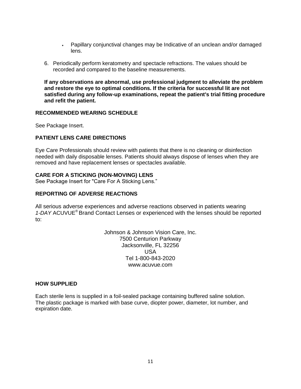- Papillary conjunctival changes may be Indicative of an unclean and/or damaged lens.
- 6. Periodically perform keratometry and spectacle refractions. The values should be recorded and compared to the baseline measurements.

**If any observations are abnormal, use professional judgment to alleviate the problem and restore the eye to optimal conditions. If the criteria for successful lit are not satisfied during any follow-up examinations, repeat the patient's trial fitting procedure and refit the patient.**

#### **RECOMMENDED WEARING SCHEDULE**

See Package Insert.

#### **PATIENT LENS CARE DIRECTIONS**

Eye Care Professionals should review with patients that there is no cleaning or disinfection needed with daily disposable lenses. Patients should always dispose of lenses when they are removed and have replacement lenses or spectacles available.

#### **CARE FOR A STICKING (NON-MOVING) LENS**

See Package Insert for "Care For A Sticking Lens."

#### **REPORTING OF ADVERSE REACTIONS**

All serious adverse experiences and adverse reactions observed in patients wearing *1-DAY* ACUVUE® Brand Contact Lenses or experienced with the lenses should be reported to:

> Johnson & Johnson Vision Care, Inc. 7500 Centurion Parkway Jacksonville, FL 32256 USA Tel 1-800-843-2020 www.acuvue.com

#### **HOW SUPPLIED**

Each sterile lens is supplied in a foil-sealed package containing buffered saline solution. The plastic package is marked with base curve, diopter power, diameter, lot number, and expiration date.